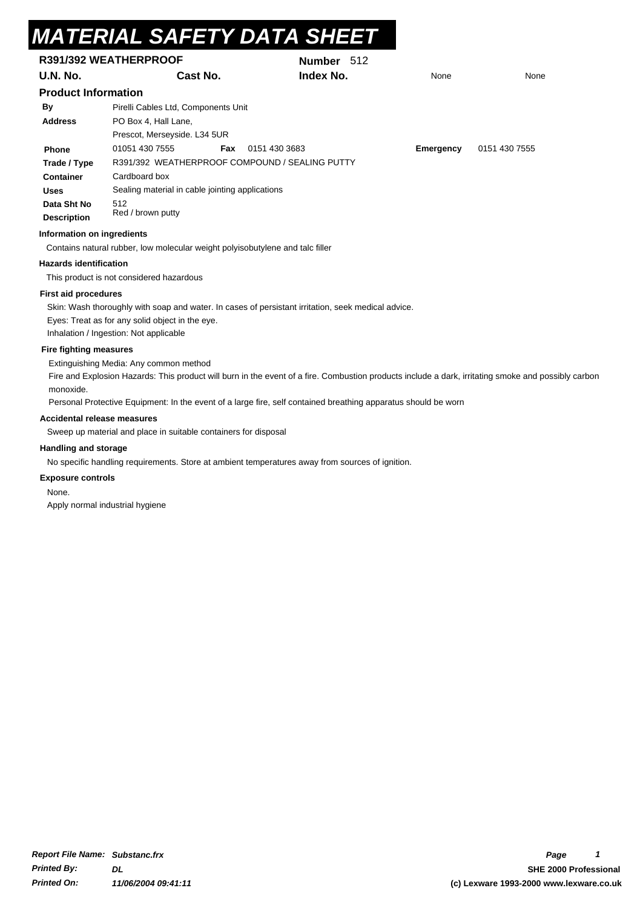# **Name** *MATERIAL SAFETY DATA SHEET*

| R391/392 WEATHERPROOF              |                                                                               | Number 512                                                                                                                                          |           |               |  |  |  |
|------------------------------------|-------------------------------------------------------------------------------|-----------------------------------------------------------------------------------------------------------------------------------------------------|-----------|---------------|--|--|--|
| U.N. No.                           | Cast No.                                                                      | Index No.                                                                                                                                           | None      | None          |  |  |  |
| <b>Product Information</b>         |                                                                               |                                                                                                                                                     |           |               |  |  |  |
| By                                 | Pirelli Cables Ltd, Components Unit                                           |                                                                                                                                                     |           |               |  |  |  |
| <b>Address</b>                     | PO Box 4, Hall Lane,                                                          |                                                                                                                                                     |           |               |  |  |  |
|                                    | Prescot, Merseyside. L34 5UR                                                  |                                                                                                                                                     |           |               |  |  |  |
| <b>Phone</b>                       | 01051 430 7555<br>Fax                                                         | 0151 430 3683                                                                                                                                       | Emergency | 0151 430 7555 |  |  |  |
| Trade / Type                       | R391/392 WEATHERPROOF COMPOUND / SEALING PUTTY                                |                                                                                                                                                     |           |               |  |  |  |
| <b>Container</b>                   | Cardboard box                                                                 |                                                                                                                                                     |           |               |  |  |  |
| <b>Uses</b>                        | Sealing material in cable jointing applications                               |                                                                                                                                                     |           |               |  |  |  |
| Data Sht No<br><b>Description</b>  | 512<br>Red / brown putty                                                      |                                                                                                                                                     |           |               |  |  |  |
| Information on ingredients         |                                                                               |                                                                                                                                                     |           |               |  |  |  |
|                                    | Contains natural rubber, low molecular weight polyisobutylene and talc filler |                                                                                                                                                     |           |               |  |  |  |
| <b>Hazards identification</b>      |                                                                               |                                                                                                                                                     |           |               |  |  |  |
|                                    | This product is not considered hazardous                                      |                                                                                                                                                     |           |               |  |  |  |
| <b>First aid procedures</b>        |                                                                               |                                                                                                                                                     |           |               |  |  |  |
|                                    |                                                                               | Skin: Wash thoroughly with soap and water. In cases of persistant irritation, seek medical advice.                                                  |           |               |  |  |  |
|                                    | Eyes: Treat as for any solid object in the eye.                               |                                                                                                                                                     |           |               |  |  |  |
|                                    | Inhalation / Ingestion: Not applicable                                        |                                                                                                                                                     |           |               |  |  |  |
| <b>Fire fighting measures</b>      |                                                                               |                                                                                                                                                     |           |               |  |  |  |
|                                    | Extinguishing Media: Any common method                                        |                                                                                                                                                     |           |               |  |  |  |
| monoxide.                          |                                                                               | Fire and Explosion Hazards: This product will burn in the event of a fire. Combustion products include a dark, irritating smoke and possibly carbon |           |               |  |  |  |
|                                    |                                                                               | Personal Protective Equipment: In the event of a large fire, self contained breathing apparatus should be worn                                      |           |               |  |  |  |
| <b>Accidental release measures</b> |                                                                               |                                                                                                                                                     |           |               |  |  |  |
|                                    | Sweep up material and place in suitable containers for disposal               |                                                                                                                                                     |           |               |  |  |  |
| <b>Handling and storage</b>        |                                                                               |                                                                                                                                                     |           |               |  |  |  |
|                                    |                                                                               | No specific handling requirements. Store at ambient temperatures away from sources of ignition.                                                     |           |               |  |  |  |

#### **Exposure controls**

None.

Apply normal industrial hygiene